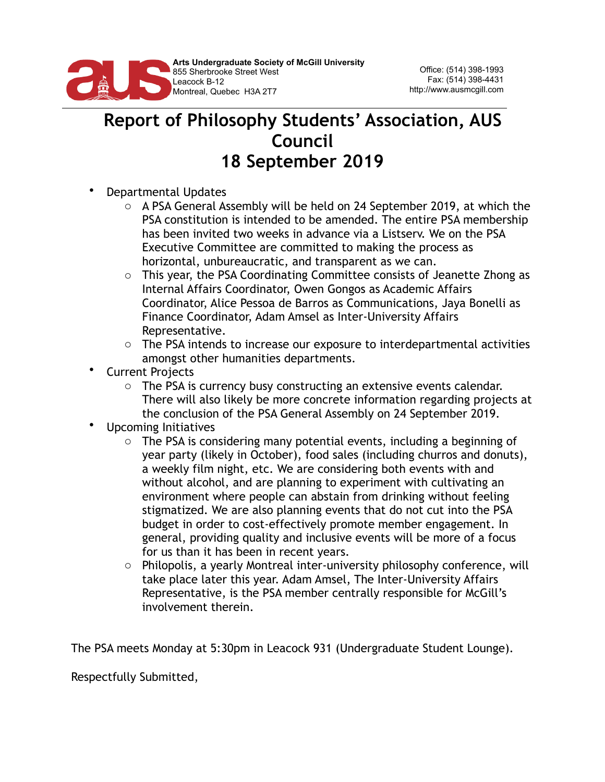

## **Report of Philosophy Students' Association, AUS Council 18 September 2019**

- Departmental Updates
	- o A PSA General Assembly will be held on 24 September 2019, at which the PSA constitution is intended to be amended. The entire PSA membership has been invited two weeks in advance via a Listserv. We on the PSA Executive Committee are committed to making the process as horizontal, unbureaucratic, and transparent as we can.
	- o This year, the PSA Coordinating Committee consists of Jeanette Zhong as Internal Affairs Coordinator, Owen Gongos as Academic Affairs Coordinator, Alice Pessoa de Barros as Communications, Jaya Bonelli as Finance Coordinator, Adam Amsel as Inter-University Affairs Representative.
	- $\circ$  The PSA intends to increase our exposure to interdepartmental activities amongst other humanities departments.
- Current Projects
	- o The PSA is currency busy constructing an extensive events calendar. There will also likely be more concrete information regarding projects at the conclusion of the PSA General Assembly on 24 September 2019.
- Upcoming Initiatives
	- $\circ$  The PSA is considering many potential events, including a beginning of year party (likely in October), food sales (including churros and donuts), a weekly film night, etc. We are considering both events with and without alcohol, and are planning to experiment with cultivating an environment where people can abstain from drinking without feeling stigmatized. We are also planning events that do not cut into the PSA budget in order to cost-effectively promote member engagement. In general, providing quality and inclusive events will be more of a focus for us than it has been in recent years.
	- o Philopolis, a yearly Montreal inter-university philosophy conference, will take place later this year. Adam Amsel, The Inter-University Affairs Representative, is the PSA member centrally responsible for McGill's involvement therein.

The PSA meets Monday at 5:30pm in Leacock 931 (Undergraduate Student Lounge).

Respectfully Submitted,